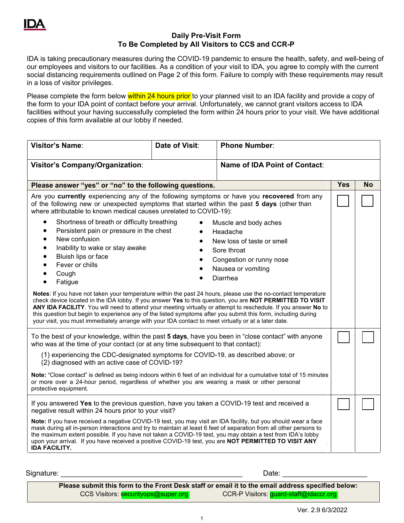## **Daily Pre-Visit Form To Be Completed by All Visitors to CCS and CCR-P**

IDA is taking precautionary measures during the COVID-19 pandemic to ensure the health, safety, and well-being of our employees and visitors to our facilities. As a condition of your visit to IDA, you agree to comply with the current social distancing requirements outlined on Page 2 of this form. Failure to comply with these requirements may result in a loss of visitor privileges.

Please complete the form below within 24 hours prior to your planned visit to an IDA facility and provide a copy of the form to your IDA point of contact before your arrival. Unfortunately, we cannot grant visitors access to IDA facilities without your having successfully completed the form within 24 hours prior to your visit. We have additional copies of this form available at our lobby if needed.

| <b>Visitor's Name:</b>                                                                                                                                                                                                                                                                                                                                                                                                                                                                                                                                                                                                                                                                                                                                                                                                                                                                                                                                                                 | Date of Visit: | <b>Phone Number:</b>                 |            |           |
|----------------------------------------------------------------------------------------------------------------------------------------------------------------------------------------------------------------------------------------------------------------------------------------------------------------------------------------------------------------------------------------------------------------------------------------------------------------------------------------------------------------------------------------------------------------------------------------------------------------------------------------------------------------------------------------------------------------------------------------------------------------------------------------------------------------------------------------------------------------------------------------------------------------------------------------------------------------------------------------|----------------|--------------------------------------|------------|-----------|
| Visitor's Company/Organization:                                                                                                                                                                                                                                                                                                                                                                                                                                                                                                                                                                                                                                                                                                                                                                                                                                                                                                                                                        |                | <b>Name of IDA Point of Contact:</b> |            |           |
| Please answer "yes" or "no" to the following questions.                                                                                                                                                                                                                                                                                                                                                                                                                                                                                                                                                                                                                                                                                                                                                                                                                                                                                                                                |                |                                      | <b>Yes</b> | <b>No</b> |
| Are you currently experiencing any of the following symptoms or have you recovered from any<br>of the following new or unexpected symptoms that started within the past 5 days (other than<br>where attributable to known medical causes unrelated to COVID-19):                                                                                                                                                                                                                                                                                                                                                                                                                                                                                                                                                                                                                                                                                                                       |                |                                      |            |           |
| Shortness of breath or difficulty breathing<br>$\bullet$<br>Muscle and body aches<br>Persistent pain or pressure in the chest<br>$\bullet$<br>Headache<br>New confusion<br>$\bullet$<br>New loss of taste or smell<br>Inability to wake or stay awake<br>$\bullet$<br>Sore throat<br>Bluish lips or face<br>Congestion or runny nose<br>Fever or chills<br>Nausea or vomiting<br>Cough<br>Diarrhea<br>Fatigue<br>Notes: If you have not taken your temperature within the past 24 hours, please use the no-contact temperature<br>check device located in the IDA lobby. If you answer Yes to this question, you are NOT PERMITTED TO VISIT<br>ANY IDA FACILITY. You will need to attend your meeting virtually or attempt to reschedule. If you answer No to<br>this question but begin to experience any of the listed symptoms after you submit this form, including during<br>your visit, you must immediately arrange with your IDA contact to meet virtually or at a later date. |                |                                      |            |           |
| To the best of your knowledge, within the past 5 days, have you been in "close contact" with anyone<br>who was at the time of your contact (or at any time subsequent to that contact):<br>(1) experiencing the CDC-designated symptoms for COVID-19, as described above; or<br>(2) diagnosed with an active case of COVID-19?<br>Note: "Close contact" is defined as being indoors within 6 feet of an individual for a cumulative total of 15 minutes<br>or more over a 24-hour period, regardless of whether you are wearing a mask or other personal<br>protective equipment.                                                                                                                                                                                                                                                                                                                                                                                                      |                |                                      |            |           |
| If you answered Yes to the previous question, have you taken a COVID-19 test and received a<br>negative result within 24 hours prior to your visit?<br>Note: If you have received a negative COVID-19 test, you may visit an IDA facility, but you should wear a face<br>mask during all in-person interactions and try to maintain at least 6 feet of separation from all other persons to<br>the maximum extent possible. If you have not taken a COVID-19 test, you may obtain a test from IDA's lobby<br>upon your arrival. If you have received a positive COVID-19 test, you are NOT PERMITTED TO VISIT ANY<br><b>IDA FACILITY.</b>                                                                                                                                                                                                                                                                                                                                              |                |                                      |            |           |

Signature: \_\_\_\_\_\_\_\_\_\_\_\_\_\_\_\_\_\_\_\_\_\_\_\_\_\_\_\_\_\_\_\_\_\_\_\_\_\_\_\_\_\_\_\_\_ Date: \_\_\_\_\_\_\_\_\_\_\_\_\_\_\_\_\_\_\_\_\_

**Please submit this form to the Front Desk staff or email it to the email address specified below:**  CCS Visitors: securityops@super.org CCR-P Visitors: guard-staff@idaccr.org